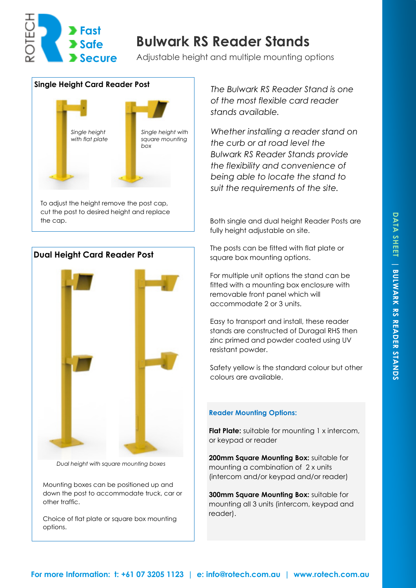

## **Bulwark RS Reader Stands**

Adjustable height and multiple mounting options



cut the post to desired height and replace



*Dual height with square mounting boxes* 

Mounting boxes can be positioned up and down the post to accommodate truck, car or other traffic.

Choice of flat plate or square box mounting options.

*The Bulwark RS Reader Stand is one of the most flexible card reader stands available.* 

*Whether installing a reader stand on the curb or at road level the Bulwark RS Reader Stands provide the flexibility and convenience of being able to locate the stand to suit the requirements of the site.* 

the cap. The cap. Both single and dual height Reader Posts are fully height adjustable on site.

> The posts can be fitted with flat plate or square box mounting options.

For multiple unit options the stand can be fitted with a mounting box enclosure with removable front panel which will accommodate 2 or 3 units.

Easy to transport and install, these reader stands are constructed of Duragal RHS then zinc primed and powder coated using UV resistant powder.

Safety yellow is the standard colour but other colours are available.

## **Reader Mounting Options:**

**Flat Plate:** suitable for mounting 1 x intercom, or keypad or reader

**200mm Square Mounting Box:** suitable for mounting a combination of 2 x units (intercom and/or keypad and/or reader)

**300mm Square Mounting Box:** suitable for mounting all 3 units (intercom, keypad and reader).